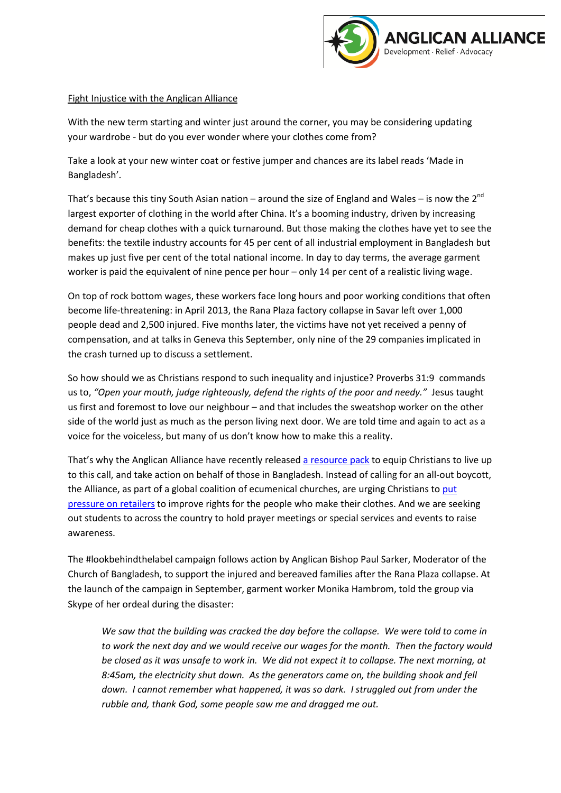

## Fight Injustice with the Anglican Alliance

With the new term starting and winter just around the corner, you may be considering updating your wardrobe - but do you ever wonder where your clothes come from?

Take a look at your new winter coat or festive jumper and chances are its label reads 'Made in Bangladesh'.

That's because this tiny South Asian nation – around the size of England and Wales – is now the 2<sup>nd</sup> largest exporter of clothing in the world after China. It's a booming industry, driven by increasing demand for cheap clothes with a quick turnaround. But those making the clothes have yet to see the benefits: the textile industry accounts for 45 per cent of all industrial employment in Bangladesh but makes up just five per cent of the total national income. In day to day terms, the average garment worker is paid the equivalent of nine pence per hour – only 14 per cent of a realistic living wage.

On top of rock bottom wages, these workers face long hours and poor working conditions that often become life-threatening: in April 2013, the Rana Plaza factory collapse in Savar left over 1,000 people dead and 2,500 injured. Five months later, the victims have not yet received a penny of compensation, and at talks in Geneva this September, only nine of the 29 companies implicated in the crash turned up to discuss a settlement.

So how should we as Christians respond to such inequality and injustice? [Proverbs 31:9](http://www.biblegateway.com/passage/?search=Proverbs+31%3A9&version=ESV) commands us to, *"Open your mouth, judge righteously, defend the rights of the poor and needy."* Jesus taught us first and foremost to love our neighbour – and that includes the sweatshop worker on the other side of the world just as much as the person living next door. We are told time and again to act as a voice for the voiceless, but many of us don't know how to make this a reality.

That's why the Anglican Alliance have recently released [a resource pack](http://clients.squareeye.net/uploads/anglican/documents/Justice%20for%20Bangladesh%20leafletfinal.pdf) to equip Christians to live up to this call, and take action on behalf of those in Bangladesh. Instead of calling for an all-out boycott, the Alliance, as part of a global coalition of ecumenical churches, are urging Christians to put [pressure on retailers](http://clients.squareeye.net/uploads/anglican/documents/Justice%20for%20Bangladesh%20letter_final.pdf) to improve rights for the people who make their clothes. And we are seeking out students to across the country to hold prayer meetings or special services and events to raise awareness.

The #lookbehindthelabel campaign follows action by Anglican Bishop Paul Sarker, Moderator of the Church of Bangladesh, to support the injured and bereaved families after the Rana Plaza collapse. At the launch of the campaign in September, garment worker Monika Hambrom, told the group via Skype of her ordeal during the disaster:

*We saw that the building was cracked the day before the collapse. We were told to come in to work the next day and we would receive our wages for the month. Then the factory would* be closed as it was unsafe to work in. We did not expect it to collapse. The next morning, at *8:45am, the electricity shut down. As the generators came on, the building shook and fell down. I cannot remember what happened, it was so dark. I struggled out from under the rubble and, thank God, some people saw me and dragged me out.*